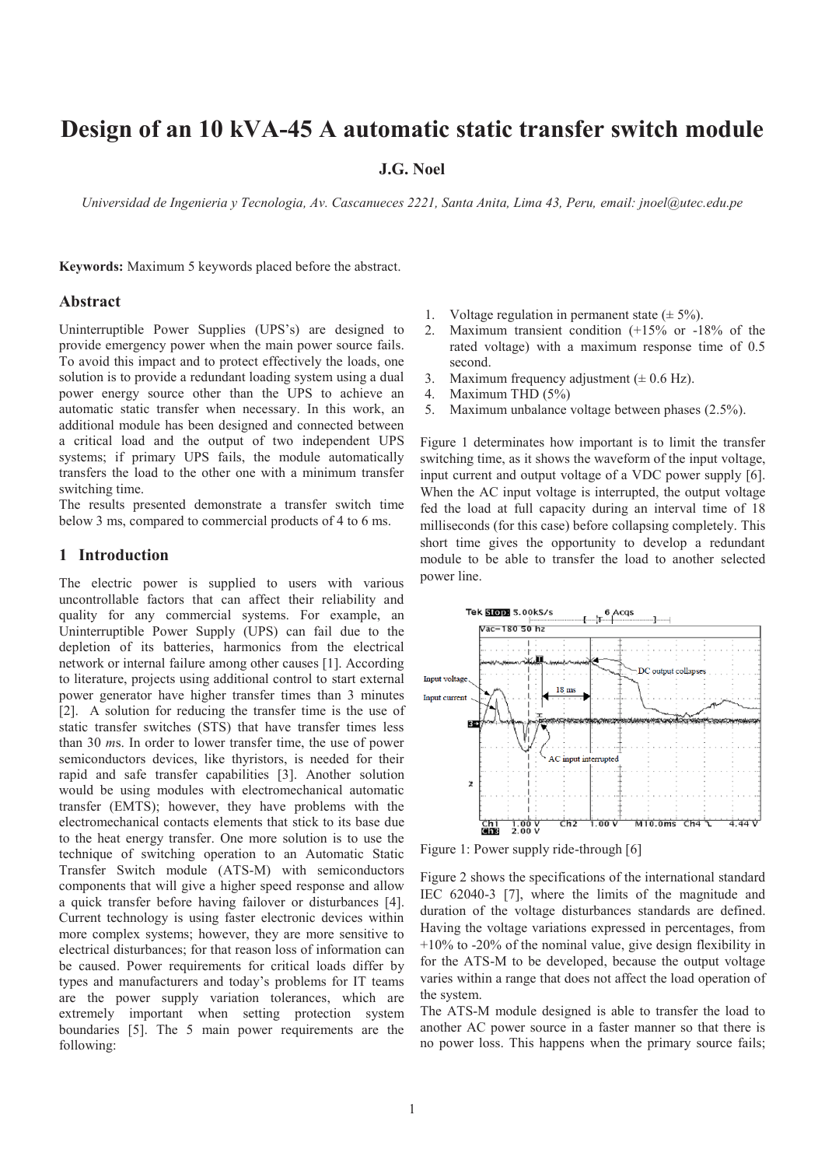# **Design of an 10 kVA-45 A automatic static transfer switch module**

# **J.G. Noel**

*Universidad de Ingenieria y Tecnologia, Av. Cascanueces 2221, Santa Anita, Lima 43, Peru, email: jnoel@utec.edu.pe*

**Keywords:** Maximum 5 keywords placed before the abstract.

#### **Abstract**

Uninterruptible Power Supplies (UPS's) are designed to provide emergency power when the main power source fails. To avoid this impact and to protect effectively the loads, one solution is to provide a redundant loading system using a dual power energy source other than the UPS to achieve an automatic static transfer when necessary. In this work, an additional module has been designed and connected between a critical load and the output of two independent UPS systems; if primary UPS fails, the module automatically transfers the load to the other one with a minimum transfer switching time.

The results presented demonstrate a transfer switch time below 3 ms, compared to commercial products of 4 to 6 ms.

#### **1 Introduction**

The electric power is supplied to users with various uncontrollable factors that can affect their reliability and quality for any commercial systems. For example, an Uninterruptible Power Supply (UPS) can fail due to the depletion of its batteries, harmonics from the electrical network or internal failure among other causes [1]. According to literature, projects using additional control to start external power generator have higher transfer times than 3 minutes [2]. A solution for reducing the transfer time is the use of static transfer switches (STS) that have transfer times less than 30 *m*s. In order to lower transfer time, the use of power semiconductors devices, like thyristors, is needed for their rapid and safe transfer capabilities [3]. Another solution would be using modules with electromechanical automatic transfer (EMTS); however, they have problems with the electromechanical contacts elements that stick to its base due to the heat energy transfer. One more solution is to use the technique of switching operation to an Automatic Static Transfer Switch module (ATS-M) with semiconductors components that will give a higher speed response and allow a quick transfer before having failover or disturbances [4]. Current technology is using faster electronic devices within more complex systems; however, they are more sensitive to electrical disturbances; for that reason loss of information can be caused. Power requirements for critical loads differ by types and manufacturers and today's problems for IT teams are the power supply variation tolerances, which are extremely important when setting protection system boundaries [5]. The 5 main power requirements are the following:

- 1. Voltage regulation in permanent state  $(\pm 5\%)$ .
- 2. Maximum transient condition (+15% or -18% of the rated voltage) with a maximum response time of 0.5 second.
- 3. Maximum frequency adjustment  $(\pm 0.6 \text{ Hz})$ .
- 4. Maximum THD (5%)
- 5. Maximum unbalance voltage between phases (2.5%).

Figure 1 determinates how important is to limit the transfer switching time, as it shows the waveform of the input voltage, input current and output voltage of a VDC power supply [6]. When the AC input voltage is interrupted, the output voltage fed the load at full capacity during an interval time of 18 milliseconds (for this case) before collapsing completely. This short time gives the opportunity to develop a redundant module to be able to transfer the load to another selected power line.



Figure 1: Power supply ride-through [6]

Figure 2 shows the specifications of the international standard IEC 62040-3 [7], where the limits of the magnitude and duration of the voltage disturbances standards are defined. Having the voltage variations expressed in percentages, from  $+10\%$  to -20% of the nominal value, give design flexibility in for the ATS-M to be developed, because the output voltage varies within a range that does not affect the load operation of the system.

The ATS-M module designed is able to transfer the load to another AC power source in a faster manner so that there is no power loss. This happens when the primary source fails;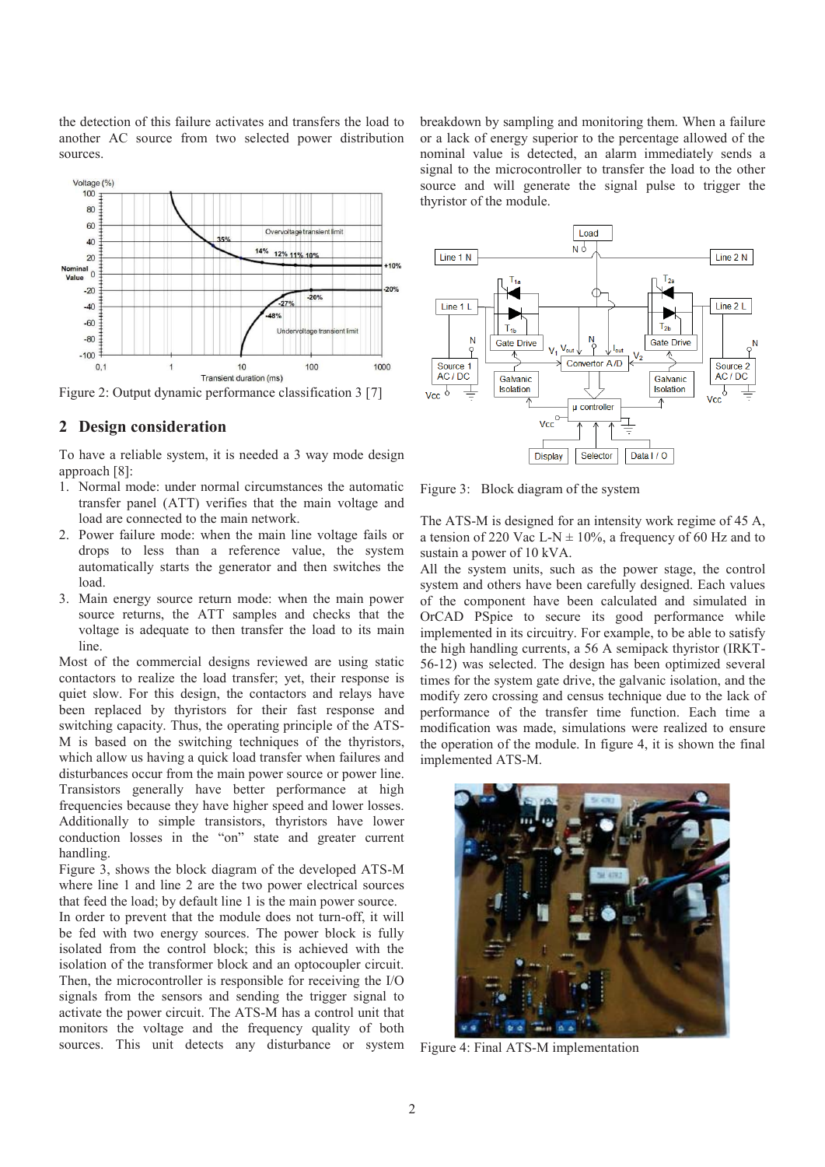the detection of this failure activates and transfers the load to another AC source from two selected power distribution sources.



Figure 2: Output dynamic performance classification 3 [7]

#### **2 Design consideration**

To have a reliable system, it is needed a 3 way mode design approach [8]:

- 1. Normal mode: under normal circumstances the automatic transfer panel (ATT) verifies that the main voltage and load are connected to the main network.
- 2. Power failure mode: when the main line voltage fails or drops to less than a reference value, the system automatically starts the generator and then switches the load.
- 3. Main energy source return mode: when the main power source returns, the ATT samples and checks that the voltage is adequate to then transfer the load to its main line.

Most of the commercial designs reviewed are using static contactors to realize the load transfer; yet, their response is quiet slow. For this design, the contactors and relays have been replaced by thyristors for their fast response and switching capacity. Thus, the operating principle of the ATS-M is based on the switching techniques of the thyristors, which allow us having a quick load transfer when failures and disturbances occur from the main power source or power line. Transistors generally have better performance at high frequencies because they have higher speed and lower losses. Additionally to simple transistors, thyristors have lower conduction losses in the "on" state and greater current handling.

Figure 3, shows the block diagram of the developed ATS-M where line 1 and line 2 are the two power electrical sources that feed the load; by default line 1 is the main power source.

In order to prevent that the module does not turn-off, it will be fed with two energy sources. The power block is fully isolated from the control block; this is achieved with the isolation of the transformer block and an optocoupler circuit. Then, the microcontroller is responsible for receiving the I/O signals from the sensors and sending the trigger signal to activate the power circuit. The ATS-M has a control unit that monitors the voltage and the frequency quality of both sources. This unit detects any disturbance or system breakdown by sampling and monitoring them. When a failure or a lack of energy superior to the percentage allowed of the nominal value is detected, an alarm immediately sends a signal to the microcontroller to transfer the load to the other source and will generate the signal pulse to trigger the thyristor of the module.



Figure 3: Block diagram of the system

The ATS-M is designed for an intensity work regime of 45 A, a tension of 220 Vac L-N  $\pm$  10%, a frequency of 60 Hz and to sustain a power of 10 kVA.

All the system units, such as the power stage, the control system and others have been carefully designed. Each values of the component have been calculated and simulated in OrCAD PSpice to secure its good performance while implemented in its circuitry. For example, to be able to satisfy the high handling currents, a 56 A semipack thyristor (IRKT-56-12) was selected. The design has been optimized several times for the system gate drive, the galvanic isolation, and the modify zero crossing and census technique due to the lack of performance of the transfer time function. Each time a modification was made, simulations were realized to ensure the operation of the module. In figure 4, it is shown the final implemented ATS-M.



Figure 4: Final ATS-M implementation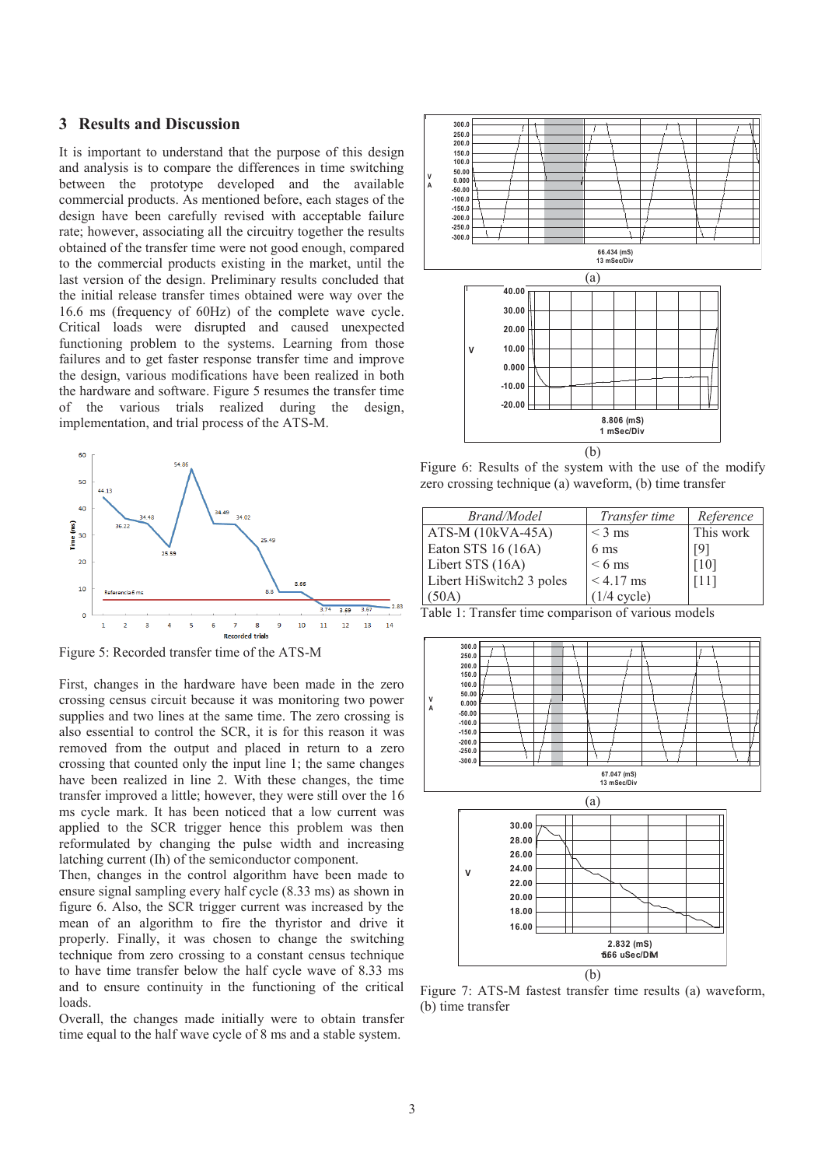## **3 Results and Discussion**

It is important to understand that the purpose of this design and analysis is to compare the differences in time switching between the prototype developed and the available commercial products. As mentioned before, each stages of the design have been carefully revised with acceptable failure rate; however, associating all the circuitry together the results obtained of the transfer time were not good enough, compared to the commercial products existing in the market, until the last version of the design. Preliminary results concluded that the initial release transfer times obtained were way over the 16.6 ms (frequency of 60Hz) of the complete wave cycle. Critical loads were disrupted and caused unexpected functioning problem to the systems. Learning from those failures and to get faster response transfer time and improve the design, various modifications have been realized in both the hardware and software. Figure 5 resumes the transfer time of the various trials realized during the design, implementation, and trial process of the ATS-M.



Figure 5: Recorded transfer time of the ATS-M

First, changes in the hardware have been made in the zero crossing census circuit because it was monitoring two power supplies and two lines at the same time. The zero crossing is also essential to control the SCR, it is for this reason it was removed from the output and placed in return to a zero crossing that counted only the input line 1; the same changes have been realized in line 2. With these changes, the time transfer improved a little; however, they were still over the 16 ms cycle mark. It has been noticed that a low current was applied to the SCR trigger hence this problem was then reformulated by changing the pulse width and increasing latching current (Ih) of the semiconductor component.

Then, changes in the control algorithm have been made to ensure signal sampling every half cycle (8.33 ms) as shown in figure 6. Also, the SCR trigger current was increased by the mean of an algorithm to fire the thyristor and drive it properly. Finally, it was chosen to change the switching technique from zero crossing to a constant census technique to have time transfer below the half cycle wave of 8.33 ms and to ensure continuity in the functioning of the critical loads.

Overall, the changes made initially were to obtain transfer time equal to the half wave cycle of 8 ms and a stable system.



Figure 6: Results of the system with the use of the modify zero crossing technique (a) waveform, (b) time transfer

| Brand/Model                          | Transfer time    | Reference |
|--------------------------------------|------------------|-----------|
| $ATS-M (10kVA-45A)$                  | $<$ 3 ms         | This work |
| Eaton STS 16 (16A)                   | 6 <sub>ms</sub>  | [9]       |
| Libert STS (16A)                     | $< 6 \text{ ms}$ | [10]      |
| Libert HiSwitch <sub>2</sub> 3 poles | $< 4.17$ ms      | [11]      |
| (50A)                                | $(1/4$ cycle)    |           |

Table 1: Transfer time comparison of various models



Figure 7: ATS-M fastest transfer time results (a) waveform, (b) time transfer